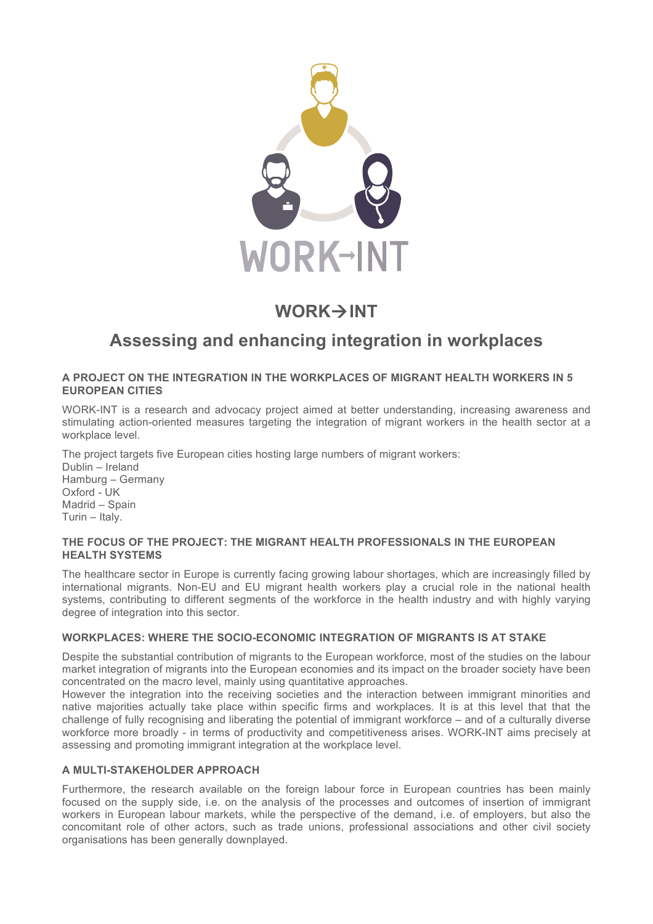

# **WORK→INT**

# **Assessing and enhancing integration in workplaces**

### **A PROJECT ON THE INTEGRATION IN THE WORKPLACES OF MIGRANT HEALTH WORKERS IN 5 EUROPEAN CITIES**

WORK-INT is a research and advocacy project aimed at better understanding, increasing awareness and stimulating action-oriented measures targeting the integration of migrant workers in the health sector at a workplace level.

The project targets five European cities hosting large numbers of migrant workers: Dublin – Ireland Hamburg – Germany Oxford - UK Madrid – Spain

### **THE FOCUS OF THE PROJECT: THE MIGRANT HEALTH PROFESSIONALS IN THE EUROPEAN HEALTH SYSTEMS**

The healthcare sector in Europe is currently facing growing labour shortages, which are increasingly filled by international migrants. Non-EU and EU migrant health workers play a crucial role in the national health systems, contributing to different segments of the workforce in the health industry and with highly varying degree of integration into this sector.

# **WORKPLACES: WHERE THE SOCIO-ECONOMIC INTEGRATION OF MIGRANTS IS AT STAKE**

Despite the substantial contribution of migrants to the European workforce, most of the studies on the labour market integration of migrants into the European economies and its impact on the broader society have been concentrated on the macro level, mainly using quantitative approaches.

However the integration into the receiving societies and the interaction between immigrant minorities and native majorities actually take place within specific firms and workplaces. It is at this level that that the challenge of fully recognising and liberating the potential of immigrant workforce – and of a culturally diverse workforce more broadly - in terms of productivity and competitiveness arises. WORK-INT aims precisely at assessing and promoting immigrant integration at the workplace level.

# **A MULTI-STAKEHOLDER APPROACH**

Turin – Italy.

Furthermore, the research available on the foreign labour force in European countries has been mainly focused on the supply side, i.e. on the analysis of the processes and outcomes of insertion of immigrant workers in European labour markets, while the perspective of the demand, i.e. of employers, but also the concomitant role of other actors, such as trade unions, professional associations and other civil society organisations has been generally downplayed.